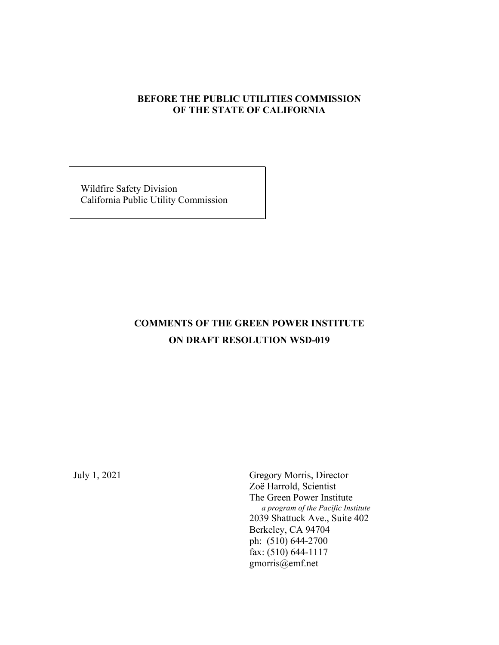# **BEFORE THE PUBLIC UTILITIES COMMISSION OF THE STATE OF CALIFORNIA**

 Wildfire Safety Division California Public Utility Commission

# **COMMENTS OF THE GREEN POWER INSTITUTE ON DRAFT RESOLUTION WSD-019**

July 1, 2021 Gregory Morris, Director Zoë Harrold, Scientist The Green Power Institute  *a program of the Pacific Institute* 2039 Shattuck Ave., Suite 402 Berkeley, CA 94704 ph: (510) 644-2700 fax: (510) 644-1117 gmorris@emf.net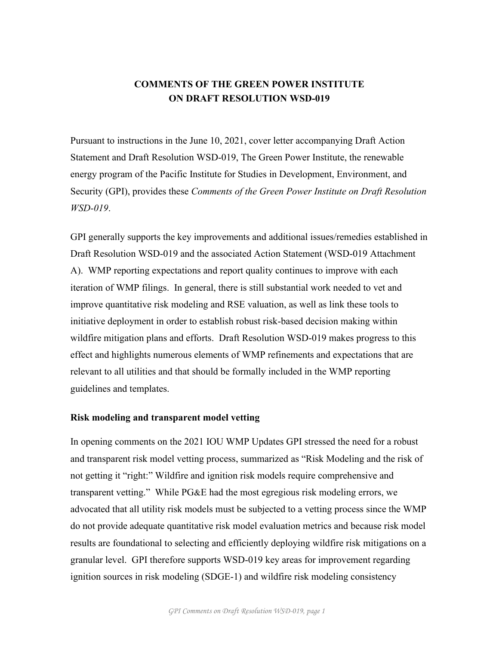# **COMMENTS OF THE GREEN POWER INSTITUTE ON DRAFT RESOLUTION WSD-019**

Pursuant to instructions in the June 10, 2021, cover letter accompanying Draft Action Statement and Draft Resolution WSD-019, The Green Power Institute, the renewable energy program of the Pacific Institute for Studies in Development, Environment, and Security (GPI), provides these *Comments of the Green Power Institute on Draft Resolution WSD-019*.

GPI generally supports the key improvements and additional issues/remedies established in Draft Resolution WSD-019 and the associated Action Statement (WSD-019 Attachment A). WMP reporting expectations and report quality continues to improve with each iteration of WMP filings. In general, there is still substantial work needed to vet and improve quantitative risk modeling and RSE valuation, as well as link these tools to initiative deployment in order to establish robust risk-based decision making within wildfire mitigation plans and efforts. Draft Resolution WSD-019 makes progress to this effect and highlights numerous elements of WMP refinements and expectations that are relevant to all utilities and that should be formally included in the WMP reporting guidelines and templates.

#### **Risk modeling and transparent model vetting**

In opening comments on the 2021 IOU WMP Updates GPI stressed the need for a robust and transparent risk model vetting process, summarized as "Risk Modeling and the risk of not getting it "right:" Wildfire and ignition risk models require comprehensive and transparent vetting." While PG&E had the most egregious risk modeling errors, we advocated that all utility risk models must be subjected to a vetting process since the WMP do not provide adequate quantitative risk model evaluation metrics and because risk model results are foundational to selecting and efficiently deploying wildfire risk mitigations on a granular level. GPI therefore supports WSD-019 key areas for improvement regarding ignition sources in risk modeling (SDGE-1) and wildfire risk modeling consistency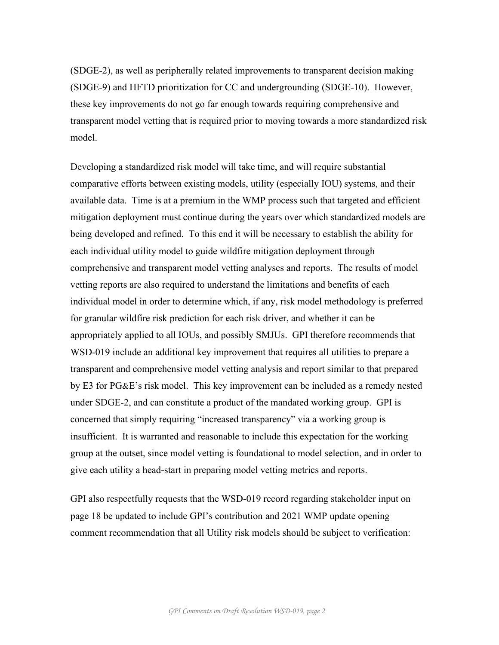(SDGE-2), as well as peripherally related improvements to transparent decision making (SDGE-9) and HFTD prioritization for CC and undergrounding (SDGE-10). However, these key improvements do not go far enough towards requiring comprehensive and transparent model vetting that is required prior to moving towards a more standardized risk model.

Developing a standardized risk model will take time, and will require substantial comparative efforts between existing models, utility (especially IOU) systems, and their available data. Time is at a premium in the WMP process such that targeted and efficient mitigation deployment must continue during the years over which standardized models are being developed and refined. To this end it will be necessary to establish the ability for each individual utility model to guide wildfire mitigation deployment through comprehensive and transparent model vetting analyses and reports. The results of model vetting reports are also required to understand the limitations and benefits of each individual model in order to determine which, if any, risk model methodology is preferred for granular wildfire risk prediction for each risk driver, and whether it can be appropriately applied to all IOUs, and possibly SMJUs. GPI therefore recommends that WSD-019 include an additional key improvement that requires all utilities to prepare a transparent and comprehensive model vetting analysis and report similar to that prepared by E3 for PG&E's risk model. This key improvement can be included as a remedy nested under SDGE-2, and can constitute a product of the mandated working group. GPI is concerned that simply requiring "increased transparency" via a working group is insufficient. It is warranted and reasonable to include this expectation for the working group at the outset, since model vetting is foundational to model selection, and in order to give each utility a head-start in preparing model vetting metrics and reports.

GPI also respectfully requests that the WSD-019 record regarding stakeholder input on page 18 be updated to include GPI's contribution and 2021 WMP update opening comment recommendation that all Utility risk models should be subject to verification: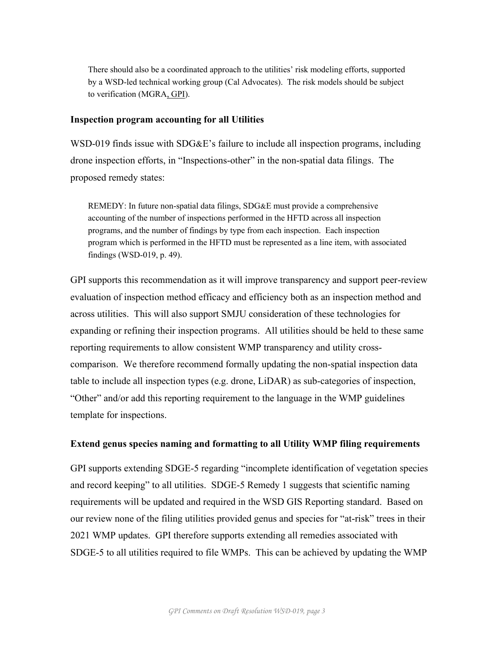There should also be a coordinated approach to the utilities' risk modeling efforts, supported by a WSD-led technical working group (Cal Advocates). The risk models should be subject to verification (MGRA, GPI).

#### **Inspection program accounting for all Utilities**

WSD-019 finds issue with SDG&E's failure to include all inspection programs, including drone inspection efforts, in "Inspections-other" in the non-spatial data filings. The proposed remedy states:

REMEDY: In future non-spatial data filings, SDG&E must provide a comprehensive accounting of the number of inspections performed in the HFTD across all inspection programs, and the number of findings by type from each inspection. Each inspection program which is performed in the HFTD must be represented as a line item, with associated findings (WSD-019, p. 49).

GPI supports this recommendation as it will improve transparency and support peer-review evaluation of inspection method efficacy and efficiency both as an inspection method and across utilities. This will also support SMJU consideration of these technologies for expanding or refining their inspection programs. All utilities should be held to these same reporting requirements to allow consistent WMP transparency and utility crosscomparison. We therefore recommend formally updating the non-spatial inspection data table to include all inspection types (e.g. drone, LiDAR) as sub-categories of inspection, "Other" and/or add this reporting requirement to the language in the WMP guidelines template for inspections.

#### **Extend genus species naming and formatting to all Utility WMP filing requirements**

GPI supports extending SDGE-5 regarding "incomplete identification of vegetation species and record keeping" to all utilities. SDGE-5 Remedy 1 suggests that scientific naming requirements will be updated and required in the WSD GIS Reporting standard. Based on our review none of the filing utilities provided genus and species for "at-risk" trees in their 2021 WMP updates. GPI therefore supports extending all remedies associated with SDGE-5 to all utilities required to file WMPs. This can be achieved by updating the WMP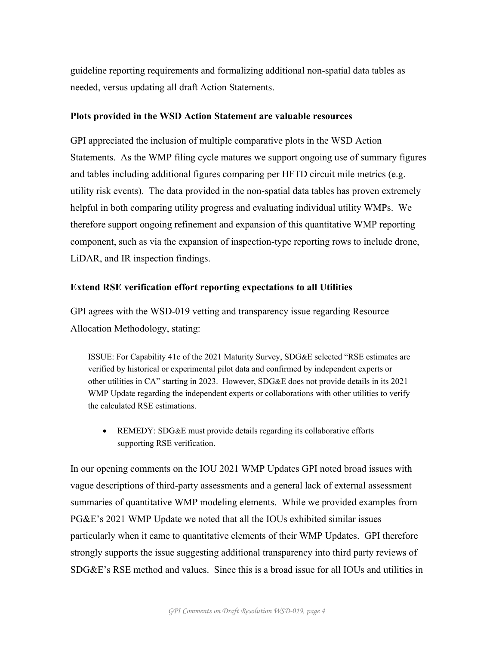guideline reporting requirements and formalizing additional non-spatial data tables as needed, versus updating all draft Action Statements.

## **Plots provided in the WSD Action Statement are valuable resources**

GPI appreciated the inclusion of multiple comparative plots in the WSD Action Statements. As the WMP filing cycle matures we support ongoing use of summary figures and tables including additional figures comparing per HFTD circuit mile metrics (e.g. utility risk events). The data provided in the non-spatial data tables has proven extremely helpful in both comparing utility progress and evaluating individual utility WMPs. We therefore support ongoing refinement and expansion of this quantitative WMP reporting component, such as via the expansion of inspection-type reporting rows to include drone, LiDAR, and IR inspection findings.

# **Extend RSE verification effort reporting expectations to all Utilities**

GPI agrees with the WSD-019 vetting and transparency issue regarding Resource Allocation Methodology, stating:

ISSUE: For Capability 41c of the 2021 Maturity Survey, SDG&E selected "RSE estimates are verified by historical or experimental pilot data and confirmed by independent experts or other utilities in CA" starting in 2023. However, SDG&E does not provide details in its 2021 WMP Update regarding the independent experts or collaborations with other utilities to verify the calculated RSE estimations.

• REMEDY: SDG&E must provide details regarding its collaborative efforts supporting RSE verification.

In our opening comments on the IOU 2021 WMP Updates GPI noted broad issues with vague descriptions of third-party assessments and a general lack of external assessment summaries of quantitative WMP modeling elements. While we provided examples from PG&E's 2021 WMP Update we noted that all the IOUs exhibited similar issues particularly when it came to quantitative elements of their WMP Updates. GPI therefore strongly supports the issue suggesting additional transparency into third party reviews of SDG&E's RSE method and values. Since this is a broad issue for all IOUs and utilities in